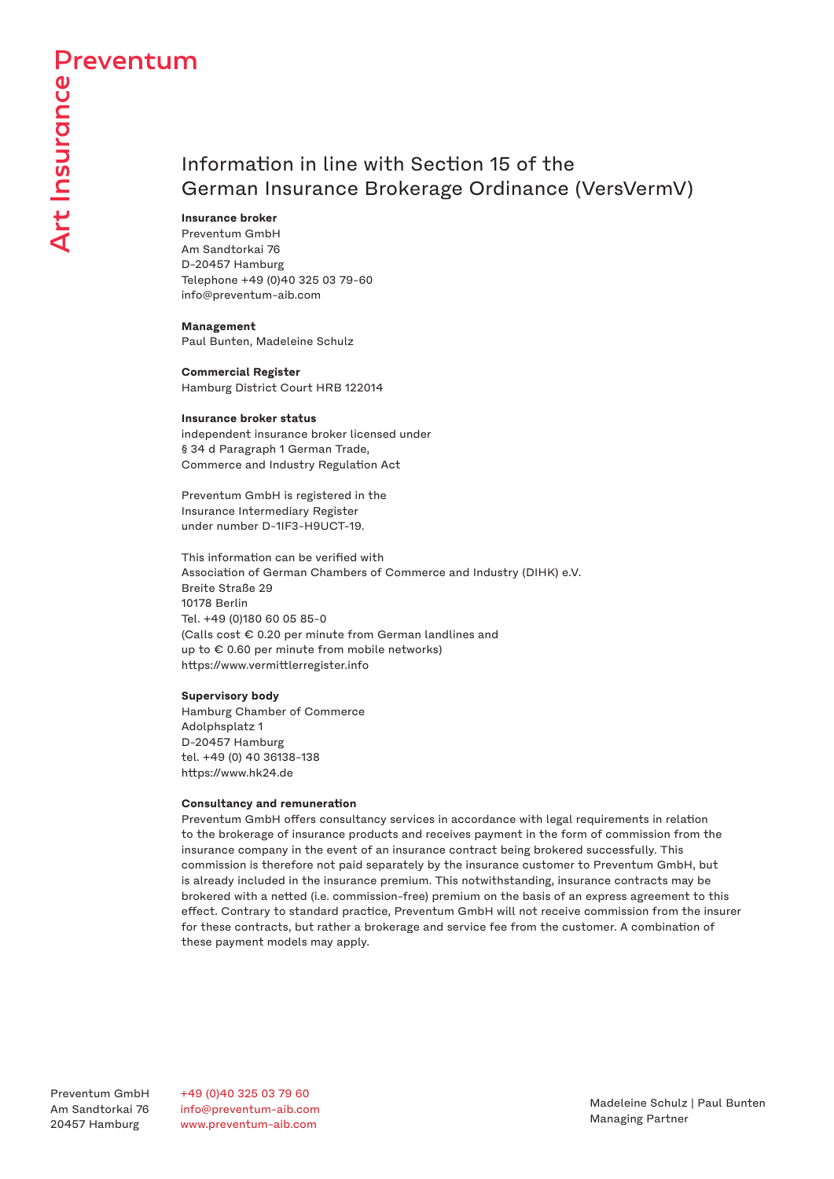# Information in line with Section 15 of the German Insurance Brokerage Ordinance (VersVermV)

### **Insurance broker**

Preventum GmbH Am Sandtorkai 76 D-20457 Hamburg Telephone +49 (0)40 325 03 79-60 info@preventum-aib.com

**Management** Paul Bunten, Madeleine Schulz

**Commercial Register** Hamburg District Court HRB 122014

### **Insurance broker status**

independent insurance broker licensed under § 34 d Paragraph 1 German Trade, Commerce and Industry Regulation Act

Preventum GmbH is registered in the Insurance Intermediary Register under number D-1IF3-H9UCT-19.

This information can be verified with Association of German Chambers of Commerce and Industry (DIHK) e.V. Breite Straße 29 10178 Berlin Tel. +49 (0)180 60 05 85-0 (Calls cost € 0.20 per minute from German landlines and up to € 0.60 per minute from mobile networks) https://www.vermittlerregister.info

# **Supervisory body**

Hamburg Chamber of Commerce Adolphsplatz 1 D-20457 Hamburg tel. +49 (0) 40 36138-138 https://www.hk24.de

### **Consultancy and remuneration**

Preventum GmbH offers consultancy services in accordance with legal requirements in relation to the brokerage of insurance products and receives payment in the form of commission from the insurance company in the event of an insurance contract being brokered successfully. This commission is therefore not paid separately by the insurance customer to Preventum GmbH, but is already included in the insurance premium. This notwithstanding, insurance contracts may be brokered with a netted (i.e. commission-free) premium on the basis of an express agreement to this effect. Contrary to standard practice, Preventum GmbH will not receive commission from the insurer for these contracts, but rather a brokerage and service fee from the customer. A combination of these payment models may apply.

Preventum GmbH Am Sandtorkai 76 20457 Hamburg

+49 (0)40 325 03 79 60 info@preventum-aib.com www.preventum-aib.com